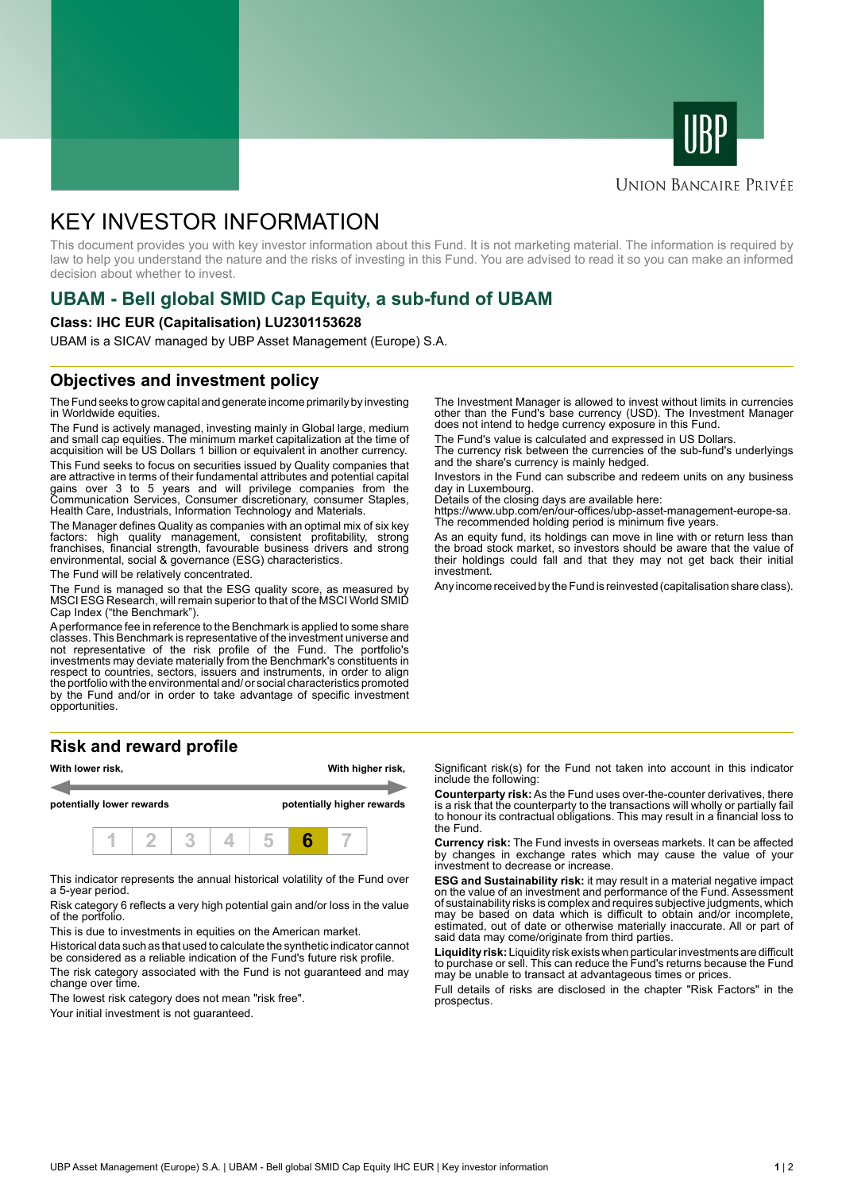



# **UNION BANCAIRE PRIVÉE**

# KEY INVESTOR INFORMATION

This document provides you with key investor information about this Fund. It is not marketing material. The information is required by law to help you understand the nature and the risks of investing in this Fund. You are advised to read it so you can make an informed decision about whether to invest.

# **UBAM - Bell global SMID Cap Equity, a sub-fund of UBAM**

### **Class: IHC EUR (Capitalisation) LU2301153628**

UBAM is a SICAV managed by UBP Asset Management (Europe) S.A.

# **Objectives and investment policy**

The Fund seeks to grow capital and generate income primarily by investing in Worldwide equities.

The Fund is actively managed, investing mainly in Global large, medium and small cap equities. The minimum market capitalization at the time of acquisition will be US Dollars 1 billion or equivalent in another currency.

This Fund seeks to focus on securities issued by Quality companies that are attractive in terms of their fundamental attributes and potential capital gains over 3 to 5 years and will privilege companies from the Communication Services, Consumer discretionary, consumer Staples, Health Care, Industrials, Information Technology and Materials.

The Manager defines Quality as companies with an optimal mix of six key factors: high quality management, consistent profitability, strong franchises, financial strength, favourable business drivers and strong environmental, social & governance (ESG) characteristics.

The Fund will be relatively concentrated.

The Fund is managed so that the ESG quality score, as measured by MSCI ESG Research, will remain superior to that of the MSCI World SMID Cap Index ("the Benchmark").

A performance fee in reference to the Benchmark is applied to some share classes. This Benchmark is representative of the investment universe and not representative of the risk profile of the Fund. The portfolio's investments may deviate materially from the Benchmark's constituents in respect to countries, sectors, issuers and instruments, in order to align the portfolio with the environmental and/ or social characteristics promoted by the Fund and/or in order to take advantage of specific investment opportunities.

# **Risk and reward profile**



This indicator represents the annual historical volatility of the Fund over a 5-year period.

Risk category 6 reflects a very high potential gain and/or loss in the value of the portfolio.

This is due to investments in equities on the American market.

Historical data such as that used to calculate the synthetic indicator cannot be considered as a reliable indication of the Fund's future risk profile.

The risk category associated with the Fund is not guaranteed and may change over time.

The lowest risk category does not mean "risk free".

Your initial investment is not quaranteed.

The Investment Manager is allowed to invest without limits in currencies other than the Fund's base currency (USD). The Investment Manager does not intend to hedge currency exposure in this Fund.

The Fund's value is calculated and expressed in US Dollars.

The currency risk between the currencies of the sub-fund's underlyings and the share's currency is mainly hedged.

Investors in the Fund can subscribe and redeem units on any business day in Luxembourg.

Details of the closing days are available here:

https://www.ubp.com/en/our-offices/ubp-asset-management-europe-sa. The recommended holding period is minimum five years.

As an equity fund, its holdings can move in line with or return less than the broad stock market, so investors should be aware that the value of their holdings could fall and that they may not get back their initial investment.

Any income received by the Fund is reinvested (capitalisation share class).

Significant risk(s) for the Fund not taken into account in this indicator include the following:

**Counterparty risk:** As the Fund uses over-the-counter derivatives, there is a risk that the counterparty to the transactions will wholly or partially fail to honour its contractual obligations. This may result in a financial loss to the Fund.

**Currency risk:** The Fund invests in overseas markets. It can be affected by changes in exchange rates which may cause the value of your investment to decrease or increase.

**ESG and Sustainability risk:** it may result in a material negative impact on the value of an investment and performance of the Fund. Assessment of sustainability risks is complex and requires subjective judgments, which may be based on data which is difficult to obtain and/or incomplete, estimated, out of date or otherwise materially inaccurate. All or part of said data may come/originate from third parties.

**Liquidity risk:** Liquidity risk exists when particular investments are difficult to purchase or sell. This can reduce the Fund's returns because the Fund may be unable to transact at advantageous times or prices.

Full details of risks are disclosed in the chapter "Risk Factors" in the prospectus.